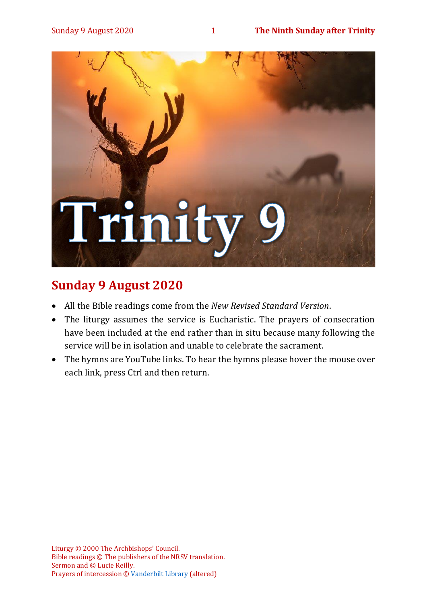

# **Sunday 9 August 2020**

- All the Bible readings come from the *New Revised Standard Version*.
- The liturgy assumes the service is Eucharistic. The prayers of consecration have been included at the end rather than in situ because many following the service will be in isolation and unable to celebrate the sacrament.
- The hymns are YouTube links. To hear the hymns please hover the mouse over each link, press Ctrl and then return.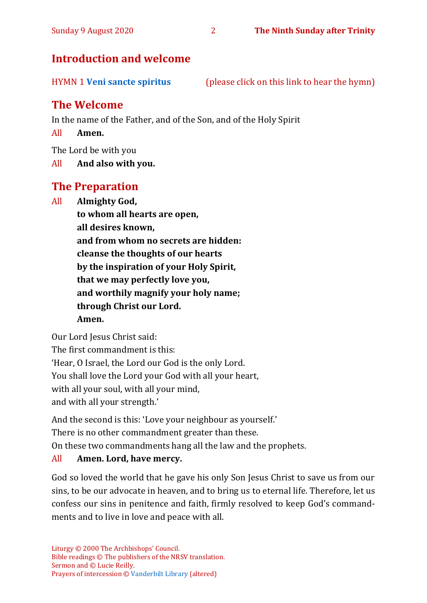## **Introduction and welcome**

HYMN 1 **[Veni sancte spiritus](https://www.youtube.com/watch?v=WmxXwAgkhWQ)** (please click on this link to hear the hymn)

# **The Welcome**

In the name of the Father, and of the Son, and of the Holy Spirit

All **Amen.**

The Lord be with you

All **And also with you.**

## **The Preparation**

All **Almighty God,**

**to whom all hearts are open, all desires known, and from whom no secrets are hidden: cleanse the thoughts of our hearts by the inspiration of your Holy Spirit, that we may perfectly love you, and worthily magnify your holy name; through Christ our Lord. Amen.**

Our Lord Jesus Christ said:

The first commandment is this: 'Hear, O Israel, the Lord our God is the only Lord. You shall love the Lord your God with all your heart, with all your soul, with all your mind, and with all your strength.'

And the second is this: 'Love your neighbour as yourself.'

There is no other commandment greater than these.

On these two commandments hang all the law and the prophets.

## All **Amen. Lord, have mercy.**

God so loved the world that he gave his only Son Jesus Christ to save us from our sins, to be our advocate in heaven, and to bring us to eternal life. Therefore, let us confess our sins in penitence and faith, firmly resolved to keep God's commandments and to live in love and peace with all.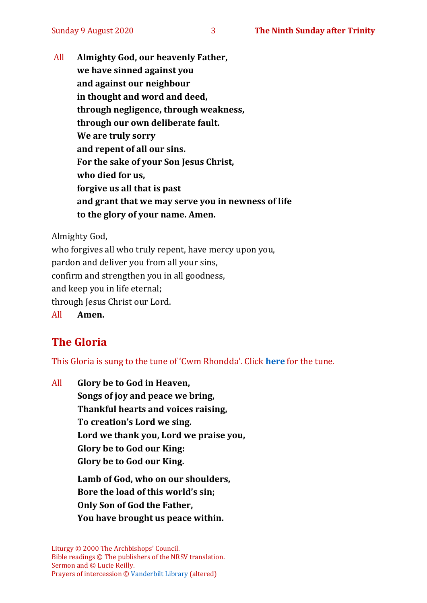All **Almighty God, our heavenly Father, we have sinned against you and against our neighbour in thought and word and deed, through negligence, through weakness, through our own deliberate fault. We are truly sorry and repent of all our sins. For the sake of your Son Jesus Christ, who died for us, forgive us all that is past and grant that we may serve you in newness of life to the glory of your name. Amen.**

Almighty God,

who forgives all who truly repent, have mercy upon you, pardon and deliver you from all your sins, confirm and strengthen you in all goodness, and keep you in life eternal; through Jesus Christ our Lord. All **Amen.**

# **The Gloria**

This Gloria is sung to the tune of 'Cwm Rhondda'. Click **[here](about:blank)** for the tune.

All **Glory be to God in Heaven, Songs of joy and peace we bring, Thankful hearts and voices raising, To creation's Lord we sing. Lord we thank you, Lord we praise you, Glory be to God our King: Glory be to God our King.**

**Lamb of God, who on our shoulders, Bore the load of this world's sin; Only Son of God the Father, You have brought us peace within.**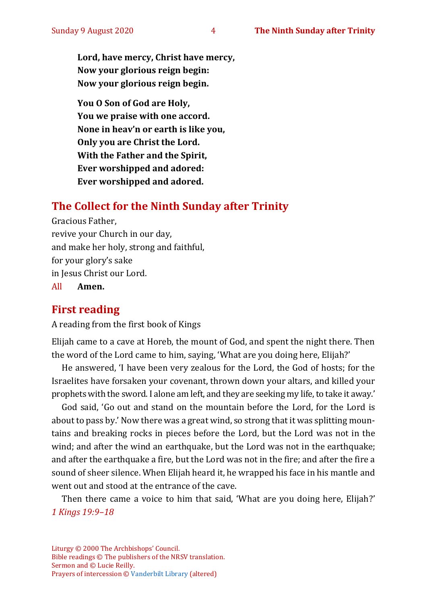**Lord, have mercy, Christ have mercy, Now your glorious reign begin: Now your glorious reign begin.**

**You O Son of God are Holy, You we praise with one accord. None in heav'n or earth is like you, Only you are Christ the Lord. With the Father and the Spirit, Ever worshipped and adored: Ever worshipped and adored.**

# **The Collect for the Ninth Sunday after Trinity**

Gracious Father, revive your Church in our day, and make her holy, strong and faithful, for your glory's sake in Jesus Christ our Lord. All **Amen.**

# **First reading**

A reading from the first book of Kings

Elijah came to a cave at Horeb, the mount of God, and spent the night there. Then the word of the Lord came to him, saying, 'What are you doing here, Elijah?'

He answered, 'I have been very zealous for the Lord, the God of hosts; for the Israelites have forsaken your covenant, thrown down your altars, and killed your prophets with the sword. I alone am left, and they are seeking my life, to take it away.'

God said, 'Go out and stand on the mountain before the Lord, for the Lord is about to pass by.' Now there was a great wind, so strong that it was splitting mountains and breaking rocks in pieces before the Lord, but the Lord was not in the wind; and after the wind an earthquake, but the Lord was not in the earthquake; and after the earthquake a fire, but the Lord was not in the fire; and after the fire a sound of sheer silence. When Elijah heard it, he wrapped his face in his mantle and went out and stood at the entrance of the cave.

Then there came a voice to him that said, 'What are you doing here, Elijah?' *1 Kings 19:9–18*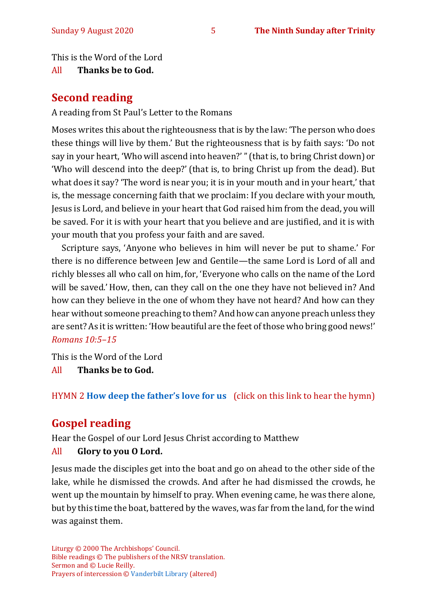This is the Word of the Lord

All **Thanks be to God.**

## **Second reading**

A reading from St Paul's Letter to the Romans

Moses writes this about the righteousness that is by the law: 'The person who does these things will live by them.' But the righteousness that is by faith says: 'Do not say in your heart, 'Who will ascend into heaven?' "(that is, to bring Christ down) or 'Who will descend into the deep?' (that is, to bring Christ up from the dead). But what does it say? 'The word is near you; it is in your mouth and in your heart,' that is, the message concerning faith that we proclaim: If you declare with your mouth, Jesus is Lord, and believe in your heart that God raised him from the dead, you will be saved. For it is with your heart that you believe and are justified, and it is with your mouth that you profess your faith and are saved.

Scripture says, 'Anyone who believes in him will never be put to shame.' For there is no difference between Jew and Gentile—the same Lord is Lord of all and richly blesses all who call on him, for, 'Everyone who calls on the name of the Lord will be saved.' How, then, can they call on the one they have not believed in? And how can they believe in the one of whom they have not heard? And how can they hear without someone preaching to them? And how can anyone preach unless they are sent? As it is written: 'How beautiful are the feet of those who bring good news!' *Romans 10:5–15*

This is the Word of the Lord

All **Thanks be to God.**

## HYMN 2 **[How deep the father's love for us](https://www.youtube.com/watch?v=e9FG12eTSbI)** (click on this link to hear the hymn)

## **Gospel reading**

Hear the Gospel of our Lord Jesus Christ according to Matthew All **Glory to you O Lord.**

Jesus made the disciples get into the boat and go on ahead to the other side of the lake, while he dismissed the crowds. And after he had dismissed the crowds, he went up the mountain by himself to pray. When evening came, he was there alone, but by this time the boat, battered by the waves, was far from the land, for the wind was against them.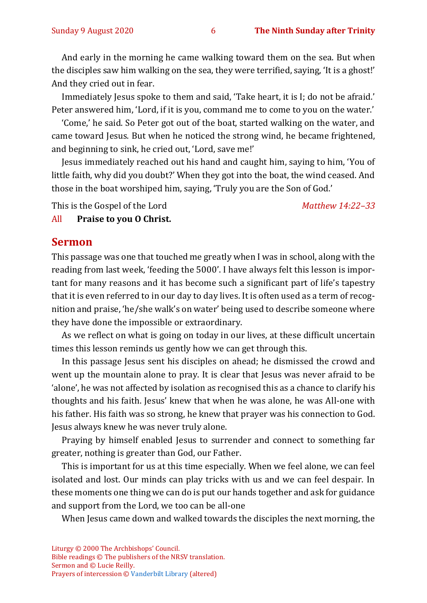And early in the morning he came walking toward them on the sea. But when the disciples saw him walking on the sea, they were terrified, saying, 'It is a ghost!' And they cried out in fear.

Immediately Jesus spoke to them and said, 'Take heart, it is I; do not be afraid.' Peter answered him, 'Lord, if it is you, command me to come to you on the water.'

'Come,' he said. So Peter got out of the boat, started walking on the water, and came toward Jesus. But when he noticed the strong wind, he became frightened, and beginning to sink, he cried out, 'Lord, save me!'

Jesus immediately reached out his hand and caught him, saying to him, 'You of little faith, why did you doubt?' When they got into the boat, the wind ceased. And those in the boat worshiped him, saying, 'Truly you are the Son of God.'

This is the Gospel of the Lord *Matthew 14:22–33*

All **Praise to you O Christ.** 

#### **Sermon**

This passage was one that touched me greatly when I was in school, along with the reading from last week, 'feeding the 5000'. I have always felt this lesson is important for many reasons and it has become such a significant part of life's tapestry that it is even referred to in our day to day lives. It is often used as a term of recognition and praise, 'he/she walk's on water' being used to describe someone where they have done the impossible or extraordinary.

As we reflect on what is going on today in our lives, at these difficult uncertain times this lesson reminds us gently how we can get through this.

In this passage Jesus sent his disciples on ahead; he dismissed the crowd and went up the mountain alone to pray. It is clear that Jesus was never afraid to be 'alone', he was not affected by isolation as recognised this as a chance to clarify his thoughts and his faith. Jesus' knew that when he was alone, he was All-one with his father. His faith was so strong, he knew that prayer was his connection to God. Jesus always knew he was never truly alone.

Praying by himself enabled Jesus to surrender and connect to something far greater, nothing is greater than God, our Father.

This is important for us at this time especially. When we feel alone, we can feel isolated and lost. Our minds can play tricks with us and we can feel despair. In these moments one thing we can do is put our hands together and ask for guidance and support from the Lord, we too can be all-one

When Jesus came down and walked towards the disciples the next morning, the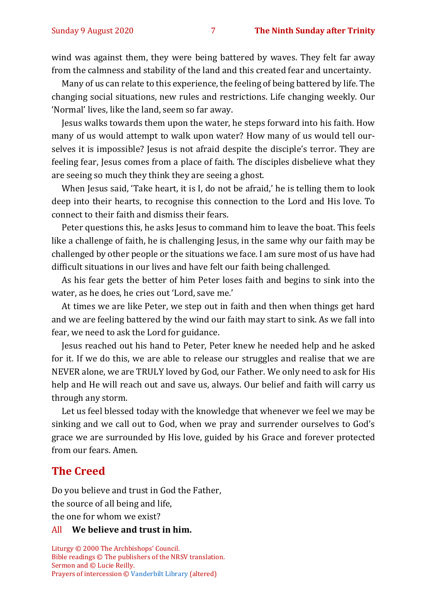wind was against them, they were being battered by waves. They felt far away from the calmness and stability of the land and this created fear and uncertainty.

Many of us can relate to this experience, the feeling of being battered by life. The changing social situations, new rules and restrictions. Life changing weekly. Our 'Normal' lives, like the land, seem so far away.

Jesus walks towards them upon the water, he steps forward into his faith. How many of us would attempt to walk upon water? How many of us would tell ourselves it is impossible? Jesus is not afraid despite the disciple's terror. They are feeling fear, Jesus comes from a place of faith. The disciples disbelieve what they are seeing so much they think they are seeing a ghost.

When Jesus said, 'Take heart, it is I, do not be afraid,' he is telling them to look deep into their hearts, to recognise this connection to the Lord and His love. To connect to their faith and dismiss their fears.

Peter questions this, he asks Jesus to command him to leave the boat. This feels like a challenge of faith, he is challenging Jesus, in the same why our faith may be challenged by other people or the situations we face. I am sure most of us have had difficult situations in our lives and have felt our faith being challenged.

As his fear gets the better of him Peter loses faith and begins to sink into the water, as he does, he cries out 'Lord, save me.'

At times we are like Peter, we step out in faith and then when things get hard and we are feeling battered by the wind our faith may start to sink. As we fall into fear, we need to ask the Lord for guidance.

Jesus reached out his hand to Peter, Peter knew he needed help and he asked for it. If we do this, we are able to release our struggles and realise that we are NEVER alone, we are TRULY loved by God, our Father. We only need to ask for His help and He will reach out and save us, always. Our belief and faith will carry us through any storm.

Let us feel blessed today with the knowledge that whenever we feel we may be sinking and we call out to God, when we pray and surrender ourselves to God's grace we are surrounded by His love, guided by his Grace and forever protected from our fears. Amen.

#### **The Creed**

Do you believe and trust in God the Father, the source of all being and life,

the one for whom we exist?

#### All **We believe and trust in him.**

Liturgy © 2000 The Archbishops' Council. Bible readings © The publishers of the NRSV translation. Sermon and © Lucie Reilly. Prayers of intercession © [Vanderbilt Library](https://lectionary.library.vanderbilt.edu/texts.php?id=154) (altered)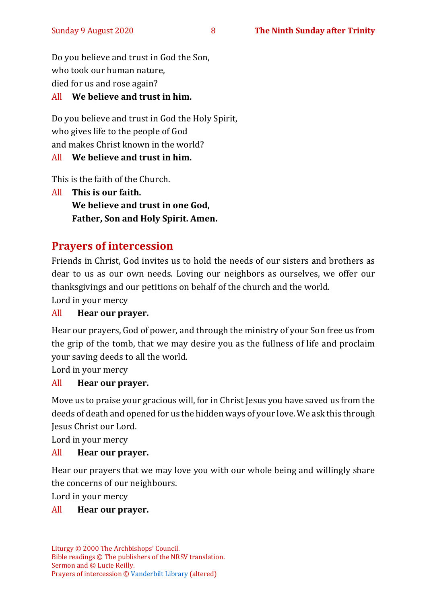Do you believe and trust in God the Son, who took our human nature, died for us and rose again?

### All **We believe and trust in him.**

Do you believe and trust in God the Holy Spirit, who gives life to the people of God and makes Christ known in the world?

## All **We believe and trust in him.**

This is the faith of the Church.

All **This is our faith. We believe and trust in one God, Father, Son and Holy Spirit. Amen.**

# **Prayers of intercession**

Friends in Christ, God invites us to hold the needs of our sisters and brothers as dear to us as our own needs. Loving our neighbors as ourselves, we offer our thanksgivings and our petitions on behalf of the church and the world.

Lord in your mercy

## All **Hear our prayer.**

Hear our prayers, God of power, and through the ministry of your Son free us from the grip of the tomb, that we may desire you as the fullness of life and proclaim your saving deeds to all the world.

Lord in your mercy

## All **Hear our prayer.**

Move us to praise your gracious will, for in Christ Jesus you have saved us from the deeds of death and opened for us the hidden ways of your love. We ask this through Jesus Christ our Lord.

Lord in your mercy

#### All **Hear our prayer.**

Hear our prayers that we may love you with our whole being and willingly share the concerns of our neighbours.

Lord in your mercy

#### All **Hear our prayer.**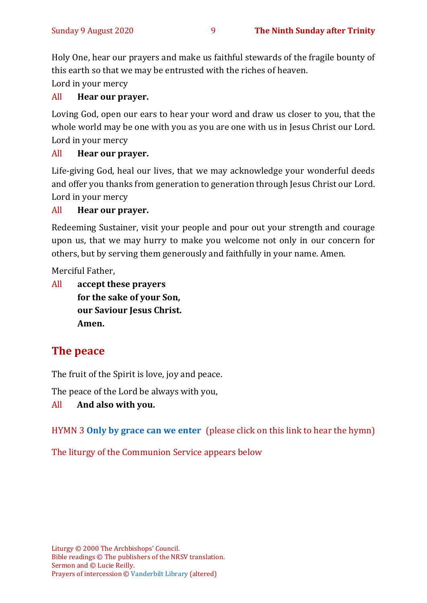Holy One, hear our prayers and make us faithful stewards of the fragile bounty of this earth so that we may be entrusted with the riches of heaven.

Lord in your mercy

#### All **Hear our prayer.**

Loving God, open our ears to hear your word and draw us closer to you, that the whole world may be one with you as you are one with us in Jesus Christ our Lord. Lord in your mercy

#### All **Hear our prayer.**

Life-giving God, heal our lives, that we may acknowledge your wonderful deeds and offer you thanks from generation to generation through Jesus Christ our Lord. Lord in your mercy

#### All **Hear our prayer.**

Redeeming Sustainer, visit your people and pour out your strength and courage upon us, that we may hurry to make you welcome not only in our concern for others, but by serving them generously and faithfully in your name. Amen.

Merciful Father,

All **accept these prayers for the sake of your Son, our Saviour Jesus Christ. Amen.**

# **The peace**

The fruit of the Spirit is love, joy and peace.

The peace of the Lord be always with you,

All **And also with you.**

HYMN 3 **[Only by grace can we enter](https://www.youtube.com/watch?v=hv72Q23lIp0)** (please click on this link to hear the hymn)

The liturgy of the Communion Service appears below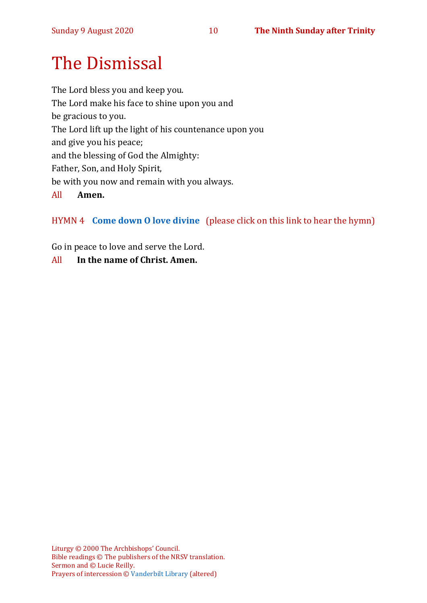# The Dismissal

The Lord bless you and keep you. The Lord make his face to shine upon you and be gracious to you. The Lord lift up the light of his countenance upon you and give you his peace; and the blessing of God the Almighty: Father, Son, and Holy Spirit, be with you now and remain with you always. All **Amen.**

## HYMN 4 **[Come down O love divine](https://www.youtube.com/watch?v=fIvKDgktutI)** (please click on this link to hear the hymn)

Go in peace to love and serve the Lord.

#### All **In the name of Christ. Amen.**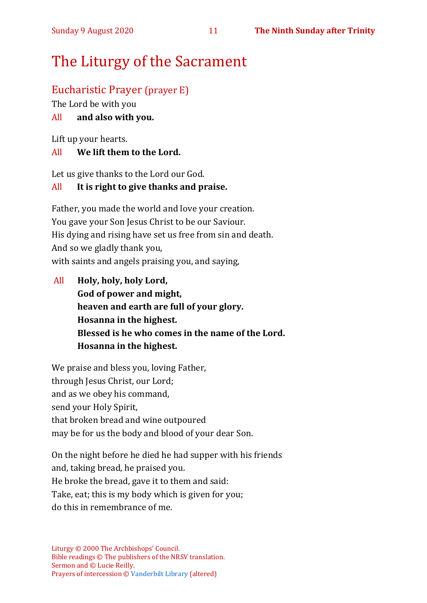# The Liturgy of the Sacrament

## Eucharistic Prayer (prayer E)

The Lord be with you

## All **and also with you.**

Lift up your hearts.

## All **We lift them to the Lord.**

Let us give thanks to the Lord our God.

## All **It is right to give thanks and praise.**

Father, you made the world and love your creation. You gave your Son Jesus Christ to be our Saviour. His dying and rising have set us free from sin and death. And so we gladly thank you, with saints and angels praising you, and saying,

All **Holy, holy, holy Lord, God of power and might, heaven and earth are full of your glory. Hosanna in the highest. Blessed is he who comes in the name of the Lord. Hosanna in the highest.**

We praise and bless you, loving Father, through Jesus Christ, our Lord; and as we obey his command, send your Holy Spirit, that broken bread and wine outpoured may be for us the body and blood of your dear Son.

On the night before he died he had supper with his friends and, taking bread, he praised you. He broke the bread, gave it to them and said: Take, eat; this is my body which is given for you; do this in remembrance of me.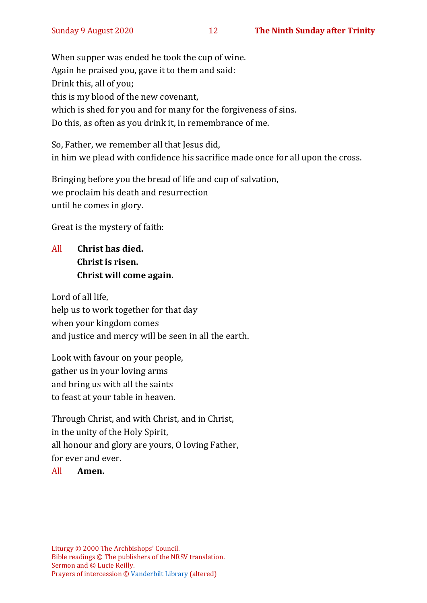When supper was ended he took the cup of wine. Again he praised you, gave it to them and said: Drink this, all of you; this is my blood of the new covenant, which is shed for you and for many for the forgiveness of sins. Do this, as often as you drink it, in remembrance of me.

So, Father, we remember all that Jesus did, in him we plead with confidence his sacrifice made once for all upon the cross.

Bringing before you the bread of life and cup of salvation, we proclaim his death and resurrection until he comes in glory.

Great is the mystery of faith:

All **Christ has died. Christ is risen. Christ will come again.**

Lord of all life, help us to work together for that day when your kingdom comes and justice and mercy will be seen in all the earth.

Look with favour on your people, gather us in your loving arms and bring us with all the saints to feast at your table in heaven.

Through Christ, and with Christ, and in Christ, in the unity of the Holy Spirit, all honour and glory are yours, O loving Father, for ever and ever.

#### All **Amen.**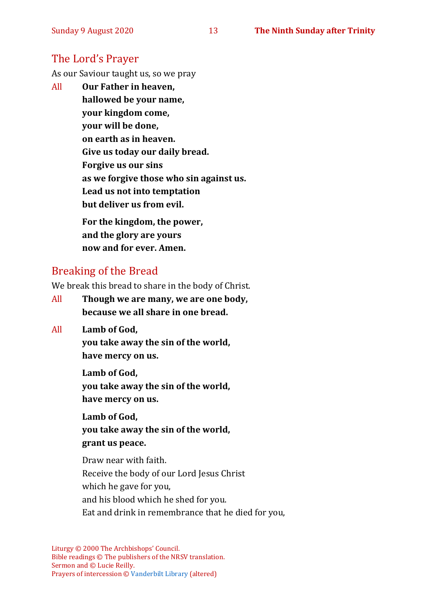## The Lord's Prayer

As our Saviour taught us, so we pray

All **Our Father in heaven, hallowed be your name, your kingdom come, your will be done, on earth as in heaven. Give us today our daily bread. Forgive us our sins as we forgive those who sin against us. Lead us not into temptation but deliver us from evil. For the kingdom, the power,** 

**and the glory are yours now and for ever. Amen.**

## Breaking of the Bread

We break this bread to share in the body of Christ.

- All **Though we are many, we are one body, because we all share in one bread.**
- All **Lamb of God,**

**you take away the sin of the world, have mercy on us.**

**Lamb of God, you take away the sin of the world, have mercy on us.**

**Lamb of God, you take away the sin of the world, grant us peace.**

Draw near with faith. Receive the body of our Lord Jesus Christ which he gave for you, and his blood which he shed for you. Eat and drink in remembrance that he died for you,